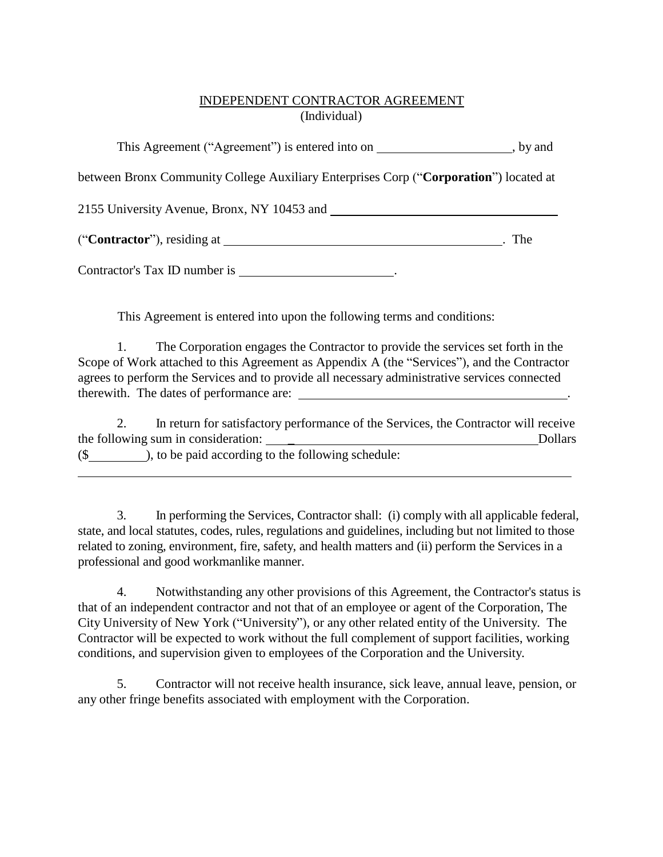## INDEPENDENT CONTRACTOR AGREEMENT (Individual)

This Agreement ("Agreement") is entered into on  $\qquad \qquad$ , by and

between Bronx Community College Auxiliary Enterprises Corp ("**Corporation**") located at

2155 University Avenue, Bronx, NY 10453 and

("**Contractor**"), residing at . The

Contractor's Tax ID number is .

This Agreement is entered into upon the following terms and conditions:

1. The Corporation engages the Contractor to provide the services set forth in the Scope of Work attached to this Agreement as Appendix A (the "Services"), and the Contractor agrees to perform the Services and to provide all necessary administrative services connected therewith. The dates of performance are: .

2. In return for satisfactory performance of the Services, the Contractor will receive the following sum in consideration: \_ Dollars

(\$ ), to be paid according to the following schedule:

3. In performing the Services, Contractor shall: (i) comply with all applicable federal, state, and local statutes, codes, rules, regulations and guidelines, including but not limited to those related to zoning, environment, fire, safety, and health matters and (ii) perform the Services in a professional and good workmanlike manner.

4. Notwithstanding any other provisions of this Agreement, the Contractor's status is that of an independent contractor and not that of an employee or agent of the Corporation, The City University of New York ("University"), or any other related entity of the University. The Contractor will be expected to work without the full complement of support facilities, working conditions, and supervision given to employees of the Corporation and the University.

5. Contractor will not receive health insurance, sick leave, annual leave, pension, or any other fringe benefits associated with employment with the Corporation.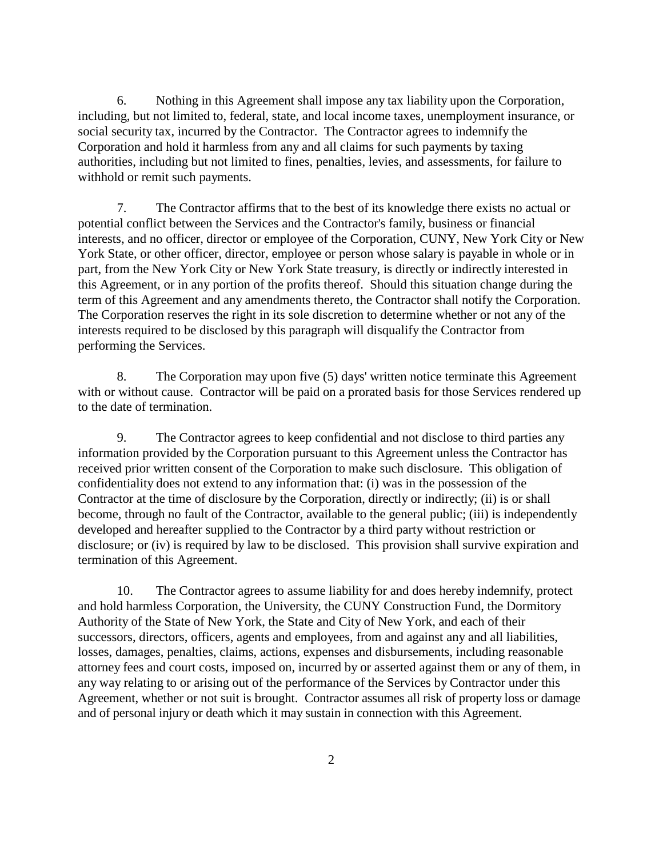6. Nothing in this Agreement shall impose any tax liability upon the Corporation, including, but not limited to, federal, state, and local income taxes, unemployment insurance, or social security tax, incurred by the Contractor. The Contractor agrees to indemnify the Corporation and hold it harmless from any and all claims for such payments by taxing authorities, including but not limited to fines, penalties, levies, and assessments, for failure to withhold or remit such payments.

7. The Contractor affirms that to the best of its knowledge there exists no actual or potential conflict between the Services and the Contractor's family, business or financial interests, and no officer, director or employee of the Corporation, CUNY, New York City or New York State, or other officer, director, employee or person whose salary is payable in whole or in part, from the New York City or New York State treasury, is directly or indirectly interested in this Agreement, or in any portion of the profits thereof. Should this situation change during the term of this Agreement and any amendments thereto, the Contractor shall notify the Corporation. The Corporation reserves the right in its sole discretion to determine whether or not any of the interests required to be disclosed by this paragraph will disqualify the Contractor from performing the Services.

8. The Corporation may upon five (5) days' written notice terminate this Agreement with or without cause. Contractor will be paid on a prorated basis for those Services rendered up to the date of termination.

9. The Contractor agrees to keep confidential and not disclose to third parties any information provided by the Corporation pursuant to this Agreement unless the Contractor has received prior written consent of the Corporation to make such disclosure. This obligation of confidentiality does not extend to any information that: (i) was in the possession of the Contractor at the time of disclosure by the Corporation, directly or indirectly; (ii) is or shall become, through no fault of the Contractor, available to the general public; (iii) is independently developed and hereafter supplied to the Contractor by a third party without restriction or disclosure; or (iv) is required by law to be disclosed. This provision shall survive expiration and termination of this Agreement.

10. The Contractor agrees to assume liability for and does hereby indemnify, protect and hold harmless Corporation, the University, the CUNY Construction Fund, the Dormitory Authority of the State of New York, the State and City of New York, and each of their successors, directors, officers, agents and employees, from and against any and all liabilities, losses, damages, penalties, claims, actions, expenses and disbursements, including reasonable attorney fees and court costs, imposed on, incurred by or asserted against them or any of them, in any way relating to or arising out of the performance of the Services by Contractor under this Agreement, whether or not suit is brought. Contractor assumes all risk of property loss or damage and of personal injury or death which it may sustain in connection with this Agreement.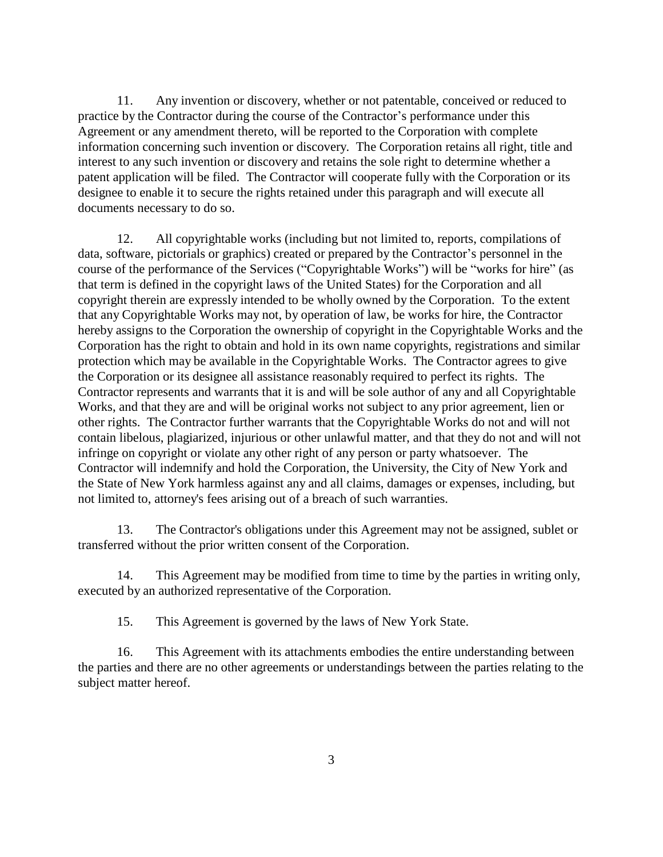11. Any invention or discovery, whether or not patentable, conceived or reduced to practice by the Contractor during the course of the Contractor's performance under this Agreement or any amendment thereto, will be reported to the Corporation with complete information concerning such invention or discovery. The Corporation retains all right, title and interest to any such invention or discovery and retains the sole right to determine whether a patent application will be filed. The Contractor will cooperate fully with the Corporation or its designee to enable it to secure the rights retained under this paragraph and will execute all documents necessary to do so.

12. All copyrightable works (including but not limited to, reports, compilations of data, software, pictorials or graphics) created or prepared by the Contractor's personnel in the course of the performance of the Services ("Copyrightable Works") will be "works for hire" (as that term is defined in the copyright laws of the United States) for the Corporation and all copyright therein are expressly intended to be wholly owned by the Corporation. To the extent that any Copyrightable Works may not, by operation of law, be works for hire, the Contractor hereby assigns to the Corporation the ownership of copyright in the Copyrightable Works and the Corporation has the right to obtain and hold in its own name copyrights, registrations and similar protection which may be available in the Copyrightable Works. The Contractor agrees to give the Corporation or its designee all assistance reasonably required to perfect its rights. The Contractor represents and warrants that it is and will be sole author of any and all Copyrightable Works, and that they are and will be original works not subject to any prior agreement, lien or other rights. The Contractor further warrants that the Copyrightable Works do not and will not contain libelous, plagiarized, injurious or other unlawful matter, and that they do not and will not infringe on copyright or violate any other right of any person or party whatsoever. The Contractor will indemnify and hold the Corporation, the University, the City of New York and the State of New York harmless against any and all claims, damages or expenses, including, but not limited to, attorney's fees arising out of a breach of such warranties.

13. The Contractor's obligations under this Agreement may not be assigned, sublet or transferred without the prior written consent of the Corporation.

14. This Agreement may be modified from time to time by the parties in writing only, executed by an authorized representative of the Corporation.

15. This Agreement is governed by the laws of New York State.

16. This Agreement with its attachments embodies the entire understanding between the parties and there are no other agreements or understandings between the parties relating to the subject matter hereof.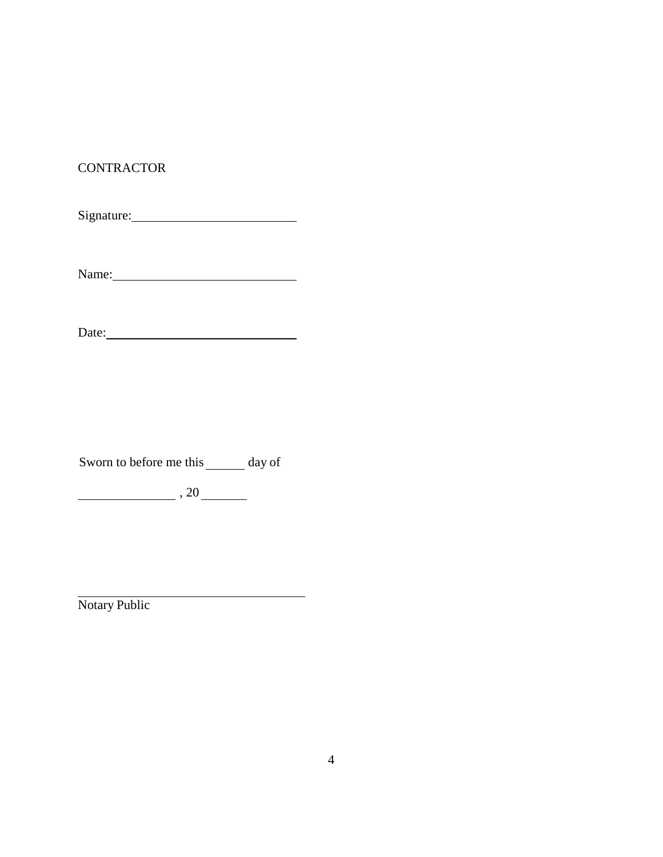## **CONTRACTOR**

Signature:

Name:

Date:

Sworn to before me this day of

<u> 1989 - Johann Barbara, martxa a</u>

 $\begin{array}{c|c} \hline \end{array}$ , 20 $\begin{array}{c} \hline \end{array}$ 

Notary Public